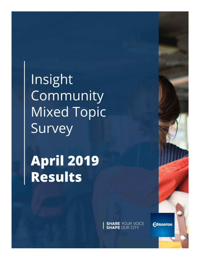Insight Community **Mixed Topic** Survey

**April 2019** Results

**SHARE YOUR VOICE**<br>**SHAPE OUR CITY** 

**Edmonton**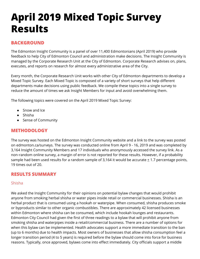# **April 2019 Mixed Topic Survey Results**

## **BACKGROUND**

The Edmonton Insight Community is a panel of over 11,400 Edmontonians (April 2019) who provide feedback to help City of Edmonton Council and administration make decisions. The Insight Community is managed by the Corporate Research Unit at the City of Edmonton. Corporate Research advises on, plans, executes, and reports on research for almost every administrative area of the City.

Every month, the Corporate Research Unit works with other City of Edmonton departments to develop a Mixed Topic Survey. Each Mixed Topic is composed of a variety of short surveys that help different departments make decisions using public feedback. We compile these topics into a single survey to reduce the amount of times we ask Insight Members for input and avoid overwhelming them.

The following topics were covered on the April 2019 Mixed Topic Survey:

- Snow and Ice
- Shisha
- Sense of Community

## **METHODOLOGY**

The survey was hosted on the Edmonton Insight Community website and a link to the survey was posted on edmonton.ca/surveys. The survey was conducted online from April 9 - 16, 2019 and was completed by 3,164 Insight Community Members and 17 individuals who anonymously accessed the survey link. As a non-random online survey, a margin of error is not reported for these results. However, if a probability sample had been used results for a random sample of 3,164 it would be accurate  $\pm$  1.7 percentage points, 19 times out of 20.

### **RESULTS SUMMARY**

#### Shisha

We asked the Insight Community for their opinions on potential bylaw changes that would prohibit anyone from smoking herbal shisha or water pipes inside retail or commercial businesses. Shisha is an herbal product that is consumed using a hookah or waterpipe. When consumed, shisha produces smoke or byproducts similar to other organic combustibles. There are approximately 42 licensed businesses within Edmonton where shisha can be consumed, which include hookah lounges and restaurants. Edmonton City Council had given the first of three readings to a bylaw that will prohibit anyone from smoking shisha and waterpipes inside a retail/commercial business. There are a number of options for when this bylaw can be implemented. Health advocates support a more immediate transition to the ban (up to 6 months) due to health impacts. Most owners of businesses that allow shisha consumption feel a longer transition period (4 to 5 years) is required before the bylaw should come into force for business reasons. Typically, once approved, bylaws come into effect immediately. City officials support a middle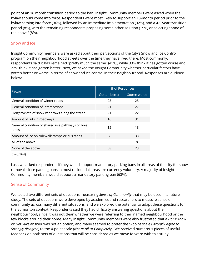point of an 18 month transition period to the ban. Insight Community members were asked when the bylaw should come into force. Respondents were most likely to support an 18-month period prior to the bylaw coming into force (36%), followed by an immediate implementation (32%), and a 4-5 year transition period (8%), with the remaining respondents proposing some other solution (15%) or selecting "none of the above" (8%).

#### Snow and Ice

Insight Community members were asked about their perceptions of the City's Snow and Ice Control program on their neighbourhood streets over the time they have lived there. Most commonly, respondents said it has remained "pretty much the same" (45%), while 33% think it has gotten worse and 22% think it has gotten better. Next, we asked the Insight Community whether particular factors have gotten better or worse in terms of snow and ice control in their neighbourhood. Responses are outlined below:

| Factor                                                    | % of Responses |                     |
|-----------------------------------------------------------|----------------|---------------------|
|                                                           | Gotten better  | <b>Gotten worse</b> |
| General condition of winter roads                         | 23             | 25                  |
| General condition of intersections                        | 21             | 27                  |
| Height/width of snow windrows along the street            | 21             | 22                  |
| Amount of ruts in roadways                                | 16             | 31                  |
| General condition of shared use pathways or bike<br>lanes | 15             | 13                  |
| Amount of ice on sidewalk ramps or bus stops              | 7              | 33                  |
| All of the above                                          | 3              | 8                   |
| None of the above                                         | 38             | 23                  |
|                                                           |                |                     |

(n=3,164)

Last, we asked respondents if they would support mandatory parking bans in all areas of the city for snow removal, since parking bans in most residential areas are currently voluntary. A majority of Insight Community members would support a mandatory parking ban (63%).

#### Sense of Community

We tested two different sets of questions measuring *Sense of Community* that may be used in a future study. The sets of questions were developed by academics and researchers to measure sense of community across many different situations, and we explored the potential to adapt these questions for the Edmonton context. Respondents said they had difficulty answering questions about their neighbourhood, since it was not clear whether we were referring to their named neighbourhood or the few blocks around their home. Many Insight Community members were also frustrated that a *Don't Know* or *Not Sure* answer was not an option, and many seemed to prefer the 5-point scale (*Strongly agree* to *Strongly disagree*) to the 4-point scale (*Not at all* to *Completely*). We received numerous pieces of useful feedback on both sets of questions that will be considered as we move forward with this study.